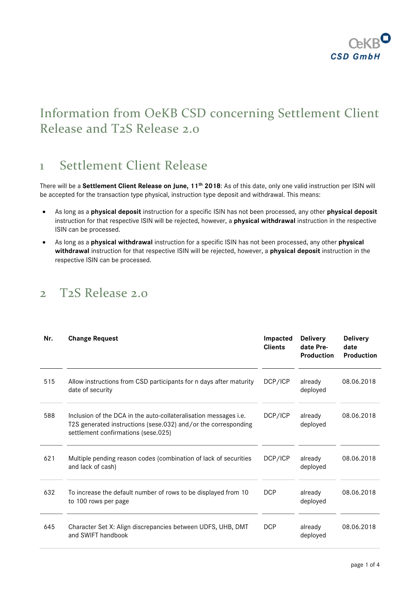

# Information from OeKB CSD concerning Settlement Client Release and T2S Release 2.0

## 1 Settlement Client Release

There will be a **Settlement Client Release on June, 11th 2018**: As of this date, only one valid instruction per ISIN will be accepted for the transaction type physical, instruction type deposit and withdrawal. This means:

- As long as a **physical deposit** instruction for a specific ISIN has not been processed, any other **physical deposit** instruction for that respective ISIN will be rejected, however, a **physical withdrawal** instruction in the respective ISIN can be processed.
- As long as a **physical withdrawal** instruction for a specific ISIN has not been processed, any other **physical withdrawal** instruction for that respective ISIN will be rejected, however, a **physical deposit** instruction in the respective ISIN can be processed.

### 2 T2S Release 2.0

| Nr. | <b>Change Request</b>                                                                                                                                                     | Impacted<br><b>Clients</b> | <b>Delivery</b><br>date Pre-<br><b>Production</b> | <b>Delivery</b><br>date<br>Production |
|-----|---------------------------------------------------------------------------------------------------------------------------------------------------------------------------|----------------------------|---------------------------------------------------|---------------------------------------|
| 515 | Allow instructions from CSD participants for n days after maturity<br>date of security                                                                                    | DCP/ICP                    | already<br>deployed                               | 08.06.2018                            |
| 588 | Inclusion of the DCA in the auto-collateralisation messages i.e.<br>T2S generated instructions (sese.032) and/or the corresponding<br>settlement confirmations (sese.025) | DCP/ICP                    | already<br>deployed                               | 08.06.2018                            |
| 621 | Multiple pending reason codes (combination of lack of securities<br>and lack of cash)                                                                                     | DCP/ICP                    | already<br>deployed                               | 08.06.2018                            |
| 632 | To increase the default number of rows to be displayed from 10<br>to 100 rows per page                                                                                    | <b>DCP</b>                 | already<br>deployed                               | 08.06.2018                            |
| 645 | Character Set X: Align discrepancies between UDFS, UHB, DMT<br>and SWIFT handbook                                                                                         | <b>DCP</b>                 | already<br>deployed                               | 08.06.2018                            |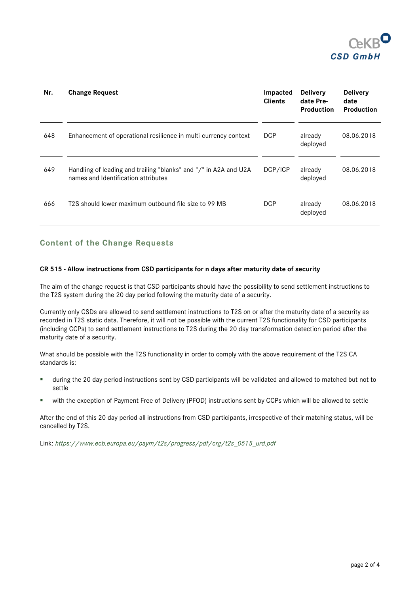

| Nr. | <b>Change Request</b>                                                                                   | Impacted<br><b>Clients</b> | <b>Delivery</b><br>date Pre-<br><b>Production</b> | <b>Delivery</b><br>date<br>Production |
|-----|---------------------------------------------------------------------------------------------------------|----------------------------|---------------------------------------------------|---------------------------------------|
| 648 | Enhancement of operational resilience in multi-currency context                                         | <b>DCP</b>                 | already<br>deployed                               | 08.06.2018                            |
| 649 | Handling of leading and trailing "blanks" and "/" in A2A and U2A<br>names and Identification attributes | DCP/ICP                    | already<br>deployed                               | 08.06.2018                            |
| 666 | T2S should lower maximum outbound file size to 99 MB                                                    | <b>DCP</b>                 | already<br>deployed                               | 08.06.2018                            |

### **Content of the Change Requests**

#### **CR 515 - Allow instructions from CSD participants for n days after maturity date of security**

The aim of the change request is that CSD participants should have the possibility to send settlement instructions to the T2S system during the 20 day period following the maturity date of a security.

Currently only CSDs are allowed to send settlement instructions to T2S on or after the maturity date of a security as recorded in T2S static data. Therefore, it will not be possible with the current T2S functionality for CSD participants (including CCPs) to send settlement instructions to T2S during the 20 day transformation detection period after the maturity date of a security.

What should be possible with the T2S functionality in order to comply with the above requirement of the T2S CA standards is:

- during the 20 day period instructions sent by CSD participants will be validated and allowed to matched but not to settle
- with the exception of Payment Free of Delivery (PFOD) instructions sent by CCPs which will be allowed to settle

After the end of this 20 day period all instructions from CSD participants, irrespective of their matching status, will be cancelled by T2S.

Link: *[https://www.ecb.europa.eu/paym/t2s/progress/pdf/crg/t2s\\_0515\\_urd.pdf](https://www.ecb.europa.eu/paym/t2s/progress/pdf/crg/t2s_0515_urd.pdf)*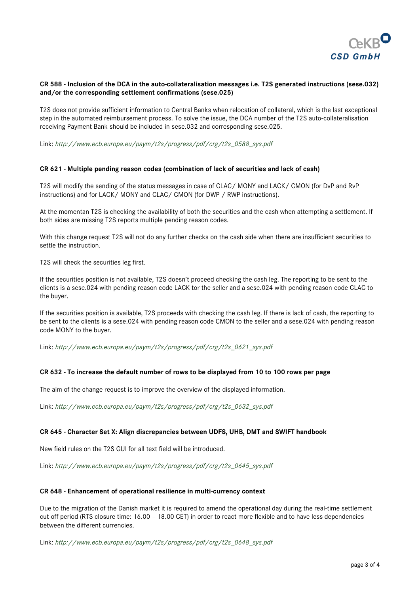

#### **CR 588 - Inclusion of the DCA in the auto-collateralisation messages i.e. T2S generated instructions (sese.032) and/or the corresponding settlement confirmations (sese.025)**

T2S does not provide sufficient information to Central Banks when relocation of collateral, which is the last exceptional step in the automated reimbursement process. To solve the issue, the DCA number of the T2S auto-collateralisation receiving Payment Bank should be included in sese.032 and corresponding sese.025.

Link: *[http://www.ecb.europa.eu/paym/t2s/progress/pdf/crg/t2s\\_0588\\_sys.pdf](http://www.ecb.europa.eu/paym/t2s/progress/pdf/crg/t2s_0588_sys.pdf)*

#### **CR 621 - Multiple pending reason codes (combination of lack of securities and lack of cash)**

T2S will modify the sending of the status messages in case of CLAC/ MONY and LACK/ CMON (for DvP and RvP instructions) and for LACK/ MONY and CLAC/ CMON (for DWP / RWP instructions).

At the momentan T2S is checking the availability of both the securities and the cash when attempting a settlement. If both sides are missing T2S reports multiple pending reason codes.

With this change request T2S will not do any further checks on the cash side when there are insufficient securities to settle the instruction.

T2S will check the securities leg first.

If the securities position is not available, T2S doesn't proceed checking the cash leg. The reporting to be sent to the clients is a sese.024 with pending reason code LACK tor the seller and a sese.024 with pending reason code CLAC to the buyer.

If the securities position is available, T2S proceeds with checking the cash leg. If there is lack of cash, the reporting to be sent to the clients is a sese.024 with pending reason code CMON to the seller and a sese.024 with pending reason code MONY to the buyer.

Link: *[http://www.ecb.europa.eu/paym/t2s/progress/pdf/crg/t2s\\_0621\\_sys.pdf](http://www.ecb.europa.eu/paym/t2s/progress/pdf/crg/t2s_0621_sys.pdf)*

#### **CR 632 - To increase the default number of rows to be displayed from 10 to 100 rows per page**

The aim of the change request is to improve the overview of the displayed information.

Link: *[http://www.ecb.europa.eu/paym/t2s/progress/pdf/crg/t2s\\_0632\\_sys.pdf](http://www.ecb.europa.eu/paym/t2s/progress/pdf/crg/t2s_0632_sys.pdf)*

#### **CR 645 - Character Set X: Align discrepancies between UDFS, UHB, DMT and SWIFT handbook**

New field rules on the T2S GUI for all text field will be introduced.

Link: *[http://www.ecb.europa.eu/paym/t2s/progress/pdf/crg/t2s\\_0645\\_sys.pdf](http://www.ecb.europa.eu/paym/t2s/progress/pdf/crg/t2s_0645_sys.pdf)*

#### **CR 648 - Enhancement of operational resilience in multi-currency context**

Due to the migration of the Danish market it is required to amend the operational day during the real-time settlement cut-off period (RTS closure time: 16.00 – 18.00 CET) in order to react more flexible and to have less dependencies between the different currencies.

Link: *[http://www.ecb.europa.eu/paym/t2s/progress/pdf/crg/t2s\\_0648\\_sys.pdf](http://www.ecb.europa.eu/paym/t2s/progress/pdf/crg/t2s_0648_sys.pdf)*